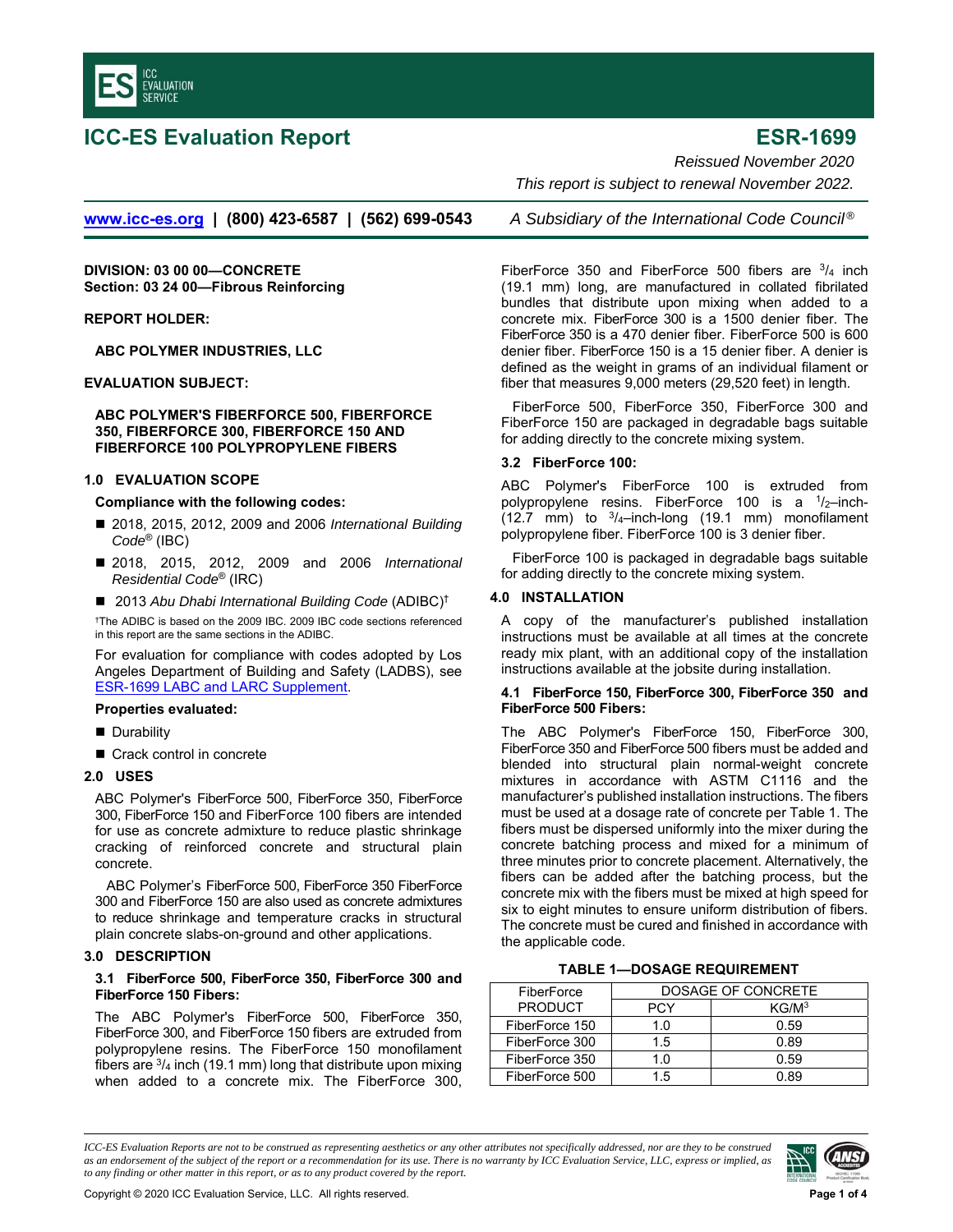<span id="page-0-0"></span>

# **ICC-ES Evaluation Report ESR-1699**

*Reissued November 2020* 

 *This report is subject to renewal November 2022.* 

**[www.icc-es.org](http://www.icc-es.org/) | (800) 423-6587 | (562) 699-0543** *A Subsidiary of the International Code Council ®*

**DIVISION: 03 00 00—CONCRETE Section: 03 24 00—Fibrous Reinforcing** 

**REPORT HOLDER:** 

**ABC POLYMER INDUSTRIES, LLC** 

**EVALUATION SUBJECT:** 

**ABC POLYMER'S FIBERFORCE 500, FIBERFORCE 350, FIBERFORCE 300, FIBERFORCE 150 AND FIBERFORCE 100 POLYPROPYLENE FIBERS** 

# **1.0 EVALUATION SCOPE**

**Compliance with the following codes:** 

- 2018, 2015, 2012, 2009 and 2006 *International Building Code*® (IBC)
- 2018, 2015, 2012, 2009 and 2006 *International Residential Code*® (IRC)
- 2013 Abu Dhabi International Building Code (ADIBC)<sup>†</sup>

†The ADIBC is based on the 2009 IBC. 2009 IBC code sections referenced in this report are the same sections in the ADIBC.

For evaluation for compliance with codes adopted by Los Angeles Department of Building and Safety (LADBS), see [ESR-1699 LABC and LARC Supplement.](#page-2-0)

### **Properties evaluated:**

- **Durability**
- Crack control in concrete

# **2.0 USES**

ABC Polymer's FiberForce 500, FiberForce 350, FiberForce 300, FiberForce 150 and FiberForce 100 fibers are intended for use as concrete admixture to reduce plastic shrinkage cracking of reinforced concrete and structural plain concrete.

ABC Polymer's FiberForce 500, FiberForce 350 FiberForce 300 and FiberForce 150 are also used as concrete admixtures to reduce shrinkage and temperature cracks in structural plain concrete slabs-on-ground and other applications.

# **3.0 DESCRIPTION**

# **3.1 FiberForce 500, FiberForce 350, FiberForce 300 and FiberForce 150 Fibers:**

The ABC Polymer's FiberForce 500, FiberForce 350, FiberForce 300, and FiberForce 150 fibers are extruded from polypropylene resins. The FiberForce 150 monofilament fibers are  $\frac{3}{4}$  inch (19.1 mm) long that distribute upon mixing when added to a concrete mix. The FiberForce 300,

FiberForce 350 and FiberForce 500 fibers are  $\frac{3}{4}$  inch (19.1 mm) long, are manufactured in collated fibrilated bundles that distribute upon mixing when added to a concrete mix. FiberForce 300 is a 1500 denier fiber. The FiberForce 350 is a 470 denier fiber. FiberForce 500 is 600 denier fiber. FiberForce 150 is a 15 denier fiber. A denier is defined as the weight in grams of an individual filament or fiber that measures 9,000 meters (29,520 feet) in length.

FiberForce 500, FiberForce 350, FiberForce 300 and FiberForce 150 are packaged in degradable bags suitable for adding directly to the concrete mixing system.

# **3.2 FiberForce 100:**

ABC Polymer's FiberForce 100 is extruded from polypropylene resins. FiberForce 100 is a  $1/2$ -inch-(12.7 mm) to  $3/4$ -inch-long (19.1 mm) monofilament polypropylene fiber. FiberForce 100 is 3 denier fiber.

FiberForce 100 is packaged in degradable bags suitable for adding directly to the concrete mixing system.

# **4.0 INSTALLATION**

A copy of the manufacturer's published installation instructions must be available at all times at the concrete ready mix plant, with an additional copy of the installation instructions available at the jobsite during installation.

### **4.1 FiberForce 150, FiberForce 300, FiberForce 350 and FiberForce 500 Fibers:**

The ABC Polymer's FiberForce 150, FiberForce 300, FiberForce 350 and FiberForce 500 fibers must be added and blended into structural plain normal-weight concrete mixtures in accordance with ASTM C1116 and the manufacturer's published installation instructions. The fibers must be used at a dosage rate of concrete per Table 1. The fibers must be dispersed uniformly into the mixer during the concrete batching process and mixed for a minimum of three minutes prior to concrete placement. Alternatively, the fibers can be added after the batching process, but the concrete mix with the fibers must be mixed at high speed for six to eight minutes to ensure uniform distribution of fibers. The concrete must be cured and finished in accordance with the applicable code.

# **TABLE 1—DOSAGE REQUIREMENT**

| FiberForce     | DOSAGE OF CONCRETE |                   |
|----------------|--------------------|-------------------|
| <b>PRODUCT</b> | PCY                | KG/M <sup>3</sup> |
| FiberForce 150 | 1.0                | 0.59              |
| FiberForce 300 | 1.5                | 0.89              |
| FiberForce 350 | 1.0                | 0.59              |
| FiberForce 500 | 1.5                | ገ ጸባ              |

*ICC-ES Evaluation Reports are not to be construed as representing aesthetics or any other attributes not specifically addressed, nor are they to be construed as an endorsement of the subject of the report or a recommendation for its use. There is no warranty by ICC Evaluation Service, LLC, express or implied, as to any finding or other matter in this report, or as to any product covered by the report.*

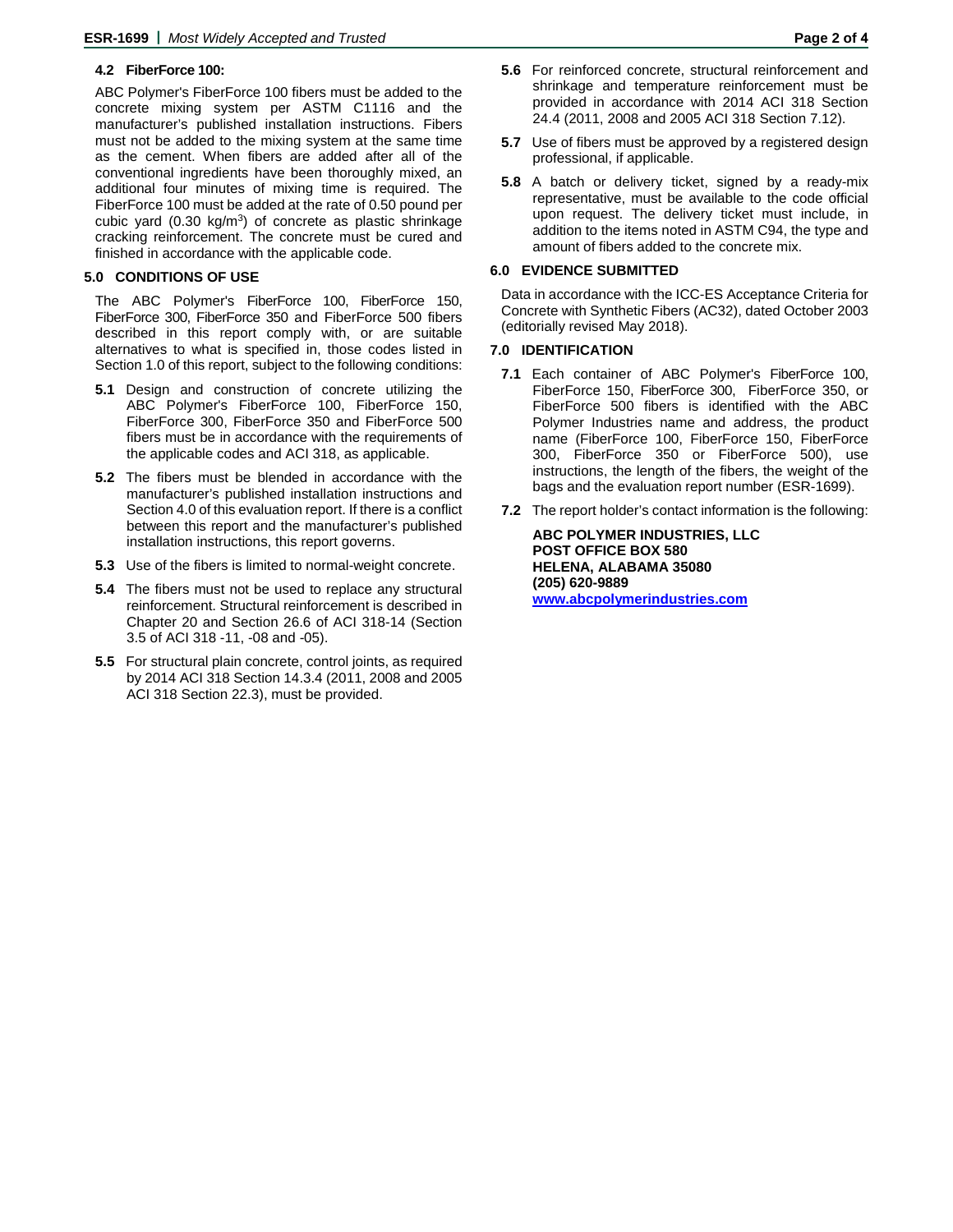# **4.2 FiberForce 100:**

ABC Polymer's FiberForce 100 fibers must be added to the concrete mixing system per ASTM C1116 and the manufacturer's published installation instructions. Fibers must not be added to the mixing system at the same time as the cement. When fibers are added after all of the conventional ingredients have been thoroughly mixed, an additional four minutes of mixing time is required. The FiberForce 100 must be added at the rate of 0.50 pound per cubic yard  $(0.30 \text{ kg/m}^3)$  of concrete as plastic shrinkage cracking reinforcement. The concrete must be cured and finished in accordance with the applicable code.

# **5.0 CONDITIONS OF USE**

The ABC Polymer's FiberForce 100, FiberForce 150, FiberForce 300, FiberForce 350 and FiberForce 500 fibers described in this report comply with, or are suitable alternatives to what is specified in, those codes listed in Section 1.0 of this report, subject to the following conditions:

- **5.1** Design and construction of concrete utilizing the ABC Polymer's FiberForce 100, FiberForce 150, FiberForce 300, FiberForce 350 and FiberForce 500 fibers must be in accordance with the requirements of the applicable codes and ACI 318, as applicable.
- **5.2** The fibers must be blended in accordance with the manufacturer's published installation instructions and Section 4.0 of this evaluation report. If there is a conflict between this report and the manufacturer's published installation instructions, this report governs.
- **5.3** Use of the fibers is limited to normal-weight concrete.
- **5.4** The fibers must not be used to replace any structural reinforcement. Structural reinforcement is described in Chapter 20 and Section 26.6 of ACI 318-14 (Section 3.5 of ACI 318 -11, -08 and -05).
- **5.5** For structural plain concrete, control joints, as required by 2014 ACI 318 Section 14.3.4 (2011, 2008 and 2005 ACI 318 Section 22.3), must be provided.
- **5.6** For reinforced concrete, structural reinforcement and shrinkage and temperature reinforcement must be provided in accordance with 2014 ACI 318 Section 24.4 (2011, 2008 and 2005 ACI 318 Section 7.12).
- **5.7** Use of fibers must be approved by a registered design professional, if applicable.
- **5.8** A batch or delivery ticket, signed by a ready-mix representative, must be available to the code official upon request. The delivery ticket must include, in addition to the items noted in ASTM C94, the type and amount of fibers added to the concrete mix.

# **6.0 EVIDENCE SUBMITTED**

Data in accordance with the ICC-ES Acceptance Criteria for [Concrete with Synthetic Fibers \(AC32\),](http://www.icc-es.org/criteria/pdf_files/ac32.pdf) dated October 2003 (editorially revised May 2018).

# **7.0 IDENTIFICATION**

- **7.1** Each container of ABC Polymer's FiberForce 100, FiberForce 150, FiberForce 300, FiberForce 350, or FiberForce 500 fibers is identified with the ABC Polymer Industries name and address, the product name (FiberForce 100, FiberForce 150, FiberForce 300, FiberForce 350 or FiberForce 500), use instructions, the length of the fibers, the weight of the bags and the evaluation report number (ESR-1699).
- **7.2** The report holder's contact information is the following:

**ABC POLYMER INDUSTRIES, LLC POST OFFICE BOX 580 HELENA, ALABAMA 35080 (205) 620-9889 [www.abcpolymerindustries.com](http://www.abcpolymerindustries.com/)**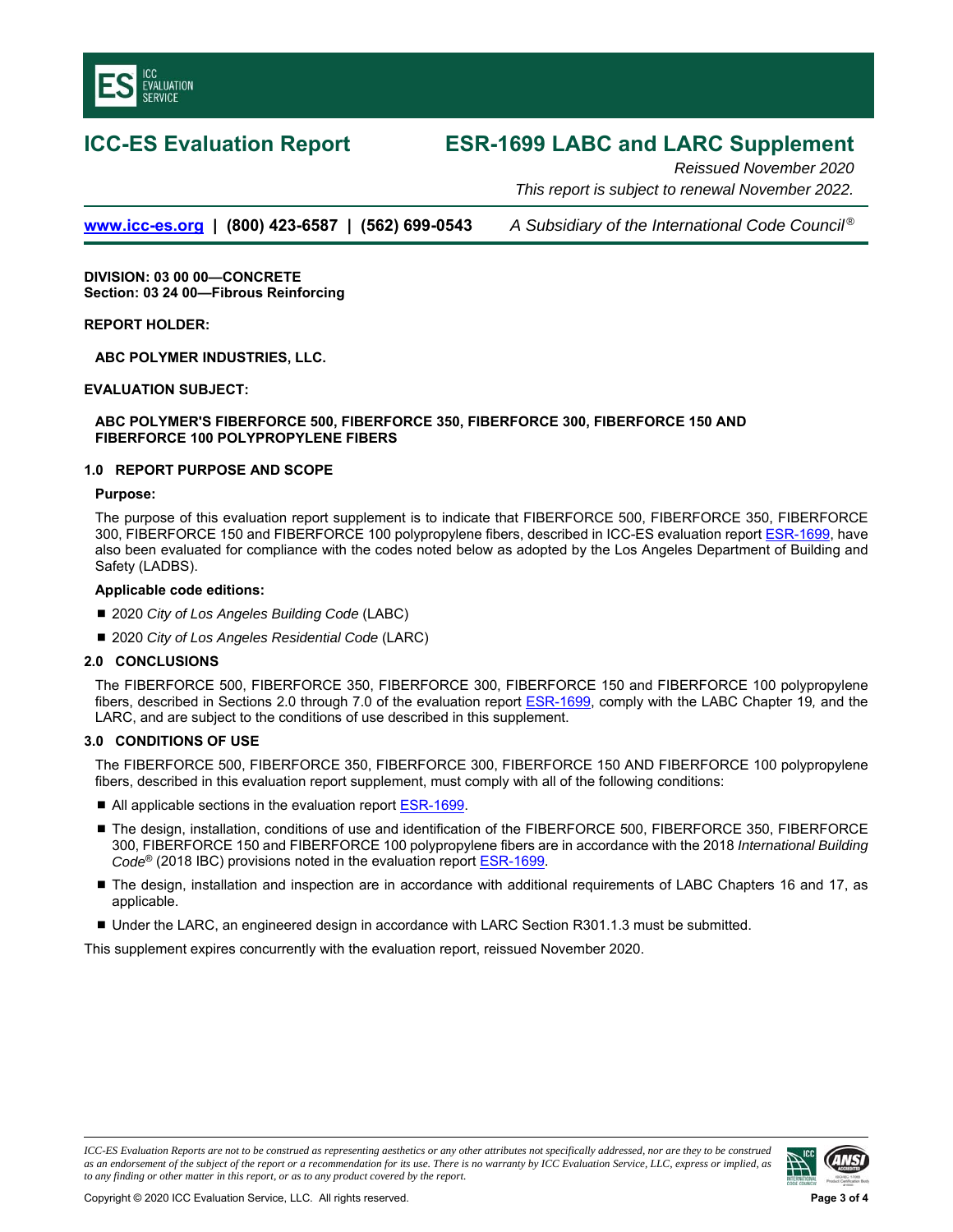<span id="page-2-0"></span>

# **ICC-ES Evaluation Report ESR-1699 LABC and LARC Supplement**

*Reissued November 2020 This report is subject to renewal November 2022.* 

**[www.icc-es.org](http://www.icc-es.org/) | (800) 423-6587 | (562) 699-0543** *A Subsidiary of the International Code Council ®*

**DIVISION: 03 00 00—CONCRETE Section: 03 24 00—Fibrous Reinforcing** 

# **REPORT HOLDER:**

**ABC POLYMER INDUSTRIES, LLC.** 

# **EVALUATION SUBJECT:**

# **ABC POLYMER'S FIBERFORCE 500, FIBERFORCE 350, FIBERFORCE 300, FIBERFORCE 150 AND FIBERFORCE 100 POLYPROPYLENE FIBERS**

# **1.0 REPORT PURPOSE AND SCOPE**

### **Purpose:**

The purpose of this evaluation report supplement is to indicate that FIBERFORCE 500, FIBERFORCE 350, FIBERFORCE 300, FIBERFORCE 150 and FIBERFORCE 100 polypropylene fibers, described in ICC-ES evaluation report [ESR-1699,](#page-0-0) have also been evaluated for compliance with the codes noted below as adopted by the Los Angeles Department of Building and Safety (LADBS).

### **Applicable code editions:**

- 2020 *City of Los Angeles Building Code* (LABC)
- 2020 *City of Los Angeles Residential Code* (LARC)

### **2.0 CONCLUSIONS**

The FIBERFORCE 500, FIBERFORCE 350, FIBERFORCE 300, FIBERFORCE 150 and FIBERFORCE 100 polypropylene fibers, described in Sections 2.0 through 7.0 of the evaluation repor[t ESR-1699,](#page-0-0) comply with the LABC Chapter 19*,* and the LARC, and are subject to the conditions of use described in this supplement.

### **3.0 CONDITIONS OF USE**

The FIBERFORCE 500, FIBERFORCE 350, FIBERFORCE 300, FIBERFORCE 150 AND FIBERFORCE 100 polypropylene fibers, described in this evaluation report supplement, must comply with all of the following conditions:

- All applicable sections in the evaluation report [ESR-1699.](#page-0-0)
- The design, installation, conditions of use and identification of the FIBERFORCE 500, FIBERFORCE 350, FIBERFORCE 300, FIBERFORCE 150 and FIBERFORCE 100 polypropylene fibers are in accordance with the 2018 *International Building Code*® (2018 IBC) provisions noted in the evaluation report [ESR-1699.](#page-0-0)
- The design, installation and inspection are in accordance with additional requirements of LABC Chapters 16 and 17, as applicable.
- Under the LARC, an engineered design in accordance with LARC Section R301.1.3 must be submitted.

This supplement expires concurrently with the evaluation report, reissued November 2020.